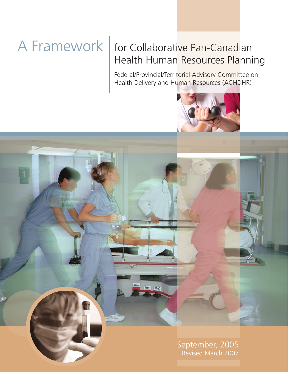# A Framework

# for Collaborative Pan-Canadian Health Human Resources Planning

Federal/Provincial/Territorial Advisory Committee on Health Delivery and Human Resources (ACHDHR)



September, 2005 Revised March 2007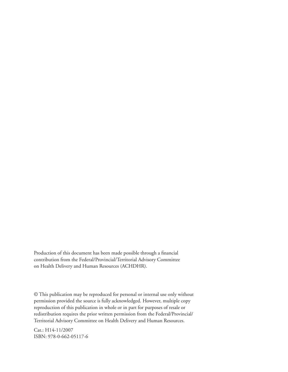Production of this document has been made possible through a financial contribution from the Federal/Provincial/Territorial Advisory Committee on Health Delivery and Human Resources (ACHDHR).

© This publication may be reproduced for personal or internal use only without permission provided the source is fully acknowledged. However, multiple copy reproduction of this publication in whole or in part for purposes of resale or redistribution requires the prior written permission from the Federal/Provincial/ Territorial Advisory Committee on Health Delivery and Human Resources.

Cat.: H14-11/2007 ISBN: 978-0-662-05117-6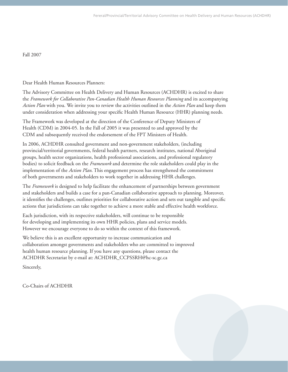Fall 2007

Dear Health Human Resources Planners:

The Advisory Committee on Health Delivery and Human Resources (ACHDHR) is excited to share the *Framework for Collaborative Pan-Canadian Health Human Resources Planning* and its accompanying *Action Plan* with you. We invite you to review the activities outlined in the *Action Plan* and keep them under consideration when addressing your specific Health Human Resource (HHR) planning needs.

The Framework was developed at the direction of the Conference of Deputy Ministers of Health (CDM) in 2004-05. In the Fall of 2005 it was presented to and approved by the CDM and subsequently received the endorsement of the FPT Ministers of Health.

In 2006, ACHDHR consulted government and non-government stakeholders, (including provincial/territorial governments, federal health partners, research institutes, national Aboriginal groups, health sector organizations, health professional associations, and professional regulatory bodies) to solicit feedback on the *Framework* and determine the role stakeholders could play in the implementation of the *Action Plan*. This engagement process has strengthened the commitment of both governments and stakeholders to work together in addressing HHR challenges.

The *Framework* is designed to help facilitate the enhancement of partnerships between government and stakeholders and builds a case for a pan-Canadian collaborative approach to planning. Moreover, it identifies the challenges, outlines priorities for collaborative action and sets out tangible and specific actions that jurisdictions can take together to achieve a more stable and effective health workforce.

Each jurisdiction, with its respective stakeholders, will continue to be responsible for developing and implementing its own HHR policies, plans and service models. However we encourage everyone to do so within the context of this framework.

We believe this is an excellent opportunity to increase communication and collaboration amongst governments and stakeholders who are committed to improved health human resource planning. If you have any questions, please contact the ACHDHR Secretariat by e-mail at: ACHDHR\_CCPSSRH@hc-sc.gc.ca

Sincerely,

Co-Chairs of ACHDHR

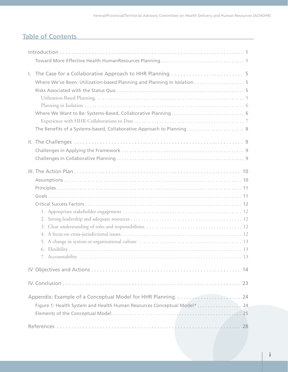# **Table of Contents**

| Ι.<br>Where We've Been: Utilization-based Planning and Planning in Isolation 5 |
|--------------------------------------------------------------------------------|
|                                                                                |
| 2.<br>3.                                                                       |
|                                                                                |
|                                                                                |
| Figure 1: Health System and Health Human Resources Conceptual Model* 24        |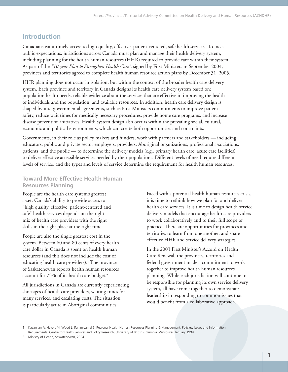# **Introduction**

Canadians want timely access to high quality, effective, patient-centered, safe health services. To meet public expectations, jurisdictions across Canada must plan and manage their health delivery system, including planning for the health human resources (HHR) required to provide care within their system. As part of the *"10-year Plan to Strengthen Health Care"*, signed by First Ministers in September 2004, provinces and territories agreed to complete health human resource action plans by December 31, 2005.

HHR planning does not occur in isolation, but within the context of the broader health care delivery system. Each province and territory in Canada designs its health care delivery system based on: population health needs, reliable evidence about the services that are effective in improving the health of individuals and the population, and available resources. In addition, health care delivery design is shaped by intergovernmental agreements, such as First Ministers commitments to improve patient safety, reduce wait times for medically necessary procedures, provide home care programs, and increase disease prevention initiatives. Health system design also occurs within the prevailing social, cultural, economic and political environments, which can create both opportunities and constraints.

Governments, in their role as policy makers and funders, work with partners and stakeholders — including educators, public and private sector employers, providers, Aboriginal organizations, professional associations, patients, and the public — to determine the delivery models (e.g., primary health care, acute care facilities) to deliver effective accessible services needed by their populations. Different levels of need require different levels of service, and the types and levels of service determine the requirement for health human resources.

# **Toward More Effective Health Human Resources Planning**

People are the health care system's greatest asset. Canada's ability to provide access to "high quality, effective, patient-centered and safe" health services depends on the right mix of health care providers with the right skills in the right place at the right time.

People are also the single greatest cost in the system. Between 60 and 80 cents of every health care dollar in Canada is spent on health human resources (and this does not include the cost of educating health care providers).1 The province of Saskatchewan reports health human resources account for 73% of its health care budget.2

All jurisdictions in Canada are currently experiencing shortages of health care providers, waiting times for many services, and escalating costs. The situation is particularly acute in Aboriginal communities.

Faced with a potential health human resources crisis, it is time to rethink how we plan for and deliver health care services. It is time to design health service delivery models that encourage health care providers to work collaboratively and to their full scope of practice. There are opportunities for provinces and territories to learn from one another, and share effective HHR and service delivery strategies.

In the 2003 First Minister's Accord on Health Care Renewal, the provinces, territories and federal government made a commitment to work together to improve health human resources planning. While each jurisdiction will continue to be responsible for planning its own service delivery system, all have come together to demonstrate leadership in responding to common issues that would benefit from a collaborative approach.

<sup>1</sup> Kazanjian A, Hevert M, Wood L, Rahim-Jamal S. Regional Health Human Resources Planning & Management: Policies, Issues and Information Requirements. Centre for Health Services and Policy Research, University of British Columbia. Vancouver. January 1999.

<sup>2</sup> Ministry of Health, Saskatchewan, 2004.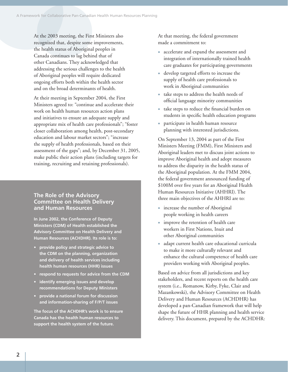At the 2003 meeting, the First Ministers also recognized that, despite some improvements, the health status of Aboriginal peoples in Canada continues to lag behind that of other Canadians. They acknowledged that addressing the serious challenges to the health of Aboriginal peoples will require dedicated ongoing efforts both within the health sector and on the broad determinants of health.

At their meeting in September 2004, the First Ministers agreed to: "continue and accelerate their work on health human resources action plans and initiatives to ensure an adequate supply and appropriate mix of health care professionals"; "foster closer collaboration among health, post-secondary education and labour market sectors"; "increase the supply of health professionals, based on their assessment of the gaps"; and, by December 31, 2005, make public their action plans (including targets for training, recruiting and retaining professionals).

#### **The Role of the Advisory Committee on Health Delivery and Human Resources**

**In June 2002, the Conference of Deputy Ministers (CDM) of Health established the Advisory Committee on Health Delivery and Human Resources (ACHDHR). Its role is to:**

- **• provide policy and strategic advice to the CDM on the planning, organization and delivery of health services including health human resources (HHR) issues**
- **• respond to requests for advice from the CDM**
- **• identify emerging issues and develop recommendations for Deputy Ministers**
- **• provide a national forum for discussion and information-sharing of F/P/T issues**

**The focus of the ACHDHR's work is to ensure Canada has the health human resources to support the health system of the future.**

At that meeting, the federal government made a commitment to:

- **•**  accelerate and expand the assessment and integration of internationally trained health care graduates for participating governments
- develop targeted efforts to increase the supply of health care professionals to work in Aboriginal communities
- take steps to address the health needs of official language minority communities
- take steps to reduce the financial burden on students in specific health education programs
- participate in health human resource planning with interested jurisdictions.

On September 13, 2004 as part of the First Ministers Meeting (FMM), First Ministers and Aboriginal leaders met to discuss joint actions to improve Aboriginal health and adopt measures to address the disparity in the health status of the Aboriginal population. At the FMM 2004, the federal government announced funding of \$100M over five years for an Aboriginal Health Human Resources Initiative (AHHRI). The three main objectives of the AHHRI are to:

- increase the number of Aboriginal people working in health careers
- improve the retention of health care workers in First Nations, Inuit and other Aboriginal communities
- adapt current health care educational curricula to make it more culturally relevant and enhance the cultural competence of health care providers working with Aboriginal peoples.

Based on advice from all jurisdictions and key stakeholders, and recent reports on the health care system (i.e., Romanow, Kirby, Fyke, Clair and Mazankowski), the Advisory Committee on Health Delivery and Human Resources (ACHDHR) has developed a pan-Canadian framework that will help shape the future of HHR planning and health service delivery. This document, prepared by the ACHDHR: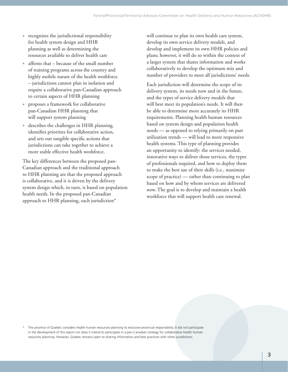- recognizes the jurisdictional responsibility for health system design and HHR planning as well as determining the resources available to deliver health care
- **•**  affirms that because of the small number of training programs across the country and highly mobile nature of the health workforce – jurisdictions cannot plan in isolation and require a collaborative pan-Canadian approach to certain aspects of HHR planning
- proposes a framework for collaborative pan-Canadian HHR planning that will support system planning
- **•**  describes the challenges in HHR planning, identifies priorities for collaborative action, and sets out tangible specific actions that jurisdictions can take together to achieve a more stable effective health workforce.

The key differences between the proposed pan-Canadian approach and the traditional approach to HHR planning are that the proposed approach is collaborative, and it is driven by the delivery system design which, in turn, is based on population health needs. In the proposed pan-Canadian approach to HHR planning, each jurisdiction\*

will continue to plan its own health care system, develop its own service delivery models, and develop and implement its own HHR policies and plans; however, it will do so within the context of a larger system that shares information and works collaboratively to develop the optimum mix and number of providers to meet all jurisdictions' needs.

Each jurisdiction will determine the scope of its delivery system, its needs now and in the future, and the types of service delivery models that will best meet its population's needs. It will then be able to determine more accurately its HHR requirements. Planning health human resources based on system design and population health needs — as opposed to relying primarily on past utilization trends — will lead to more responsive health systems. This type of planning provides an opportunity to identify: the services needed, innovative ways to deliver those services, the types of professionals required, and how to deploy them to make the best use of their skills (i.e., maximize scope of practice) — rather than continuing to plan based on how and by whom services are delivered now. The goal is to develop and maintain a health workforce that will support health care renewal.

The province of Quebec considers health human resources planning its exclusive provincial responsibility. It did not participate in the development of this report nor does it intend to participate in a pan-Canadian strategy for collaborative health human resources planning. However, Quebec remains open to sharing information and best practices with other jurisdictions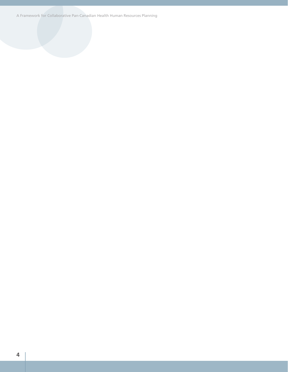A Framework for Collaborative Pan-Canadian Health Human Resources Planning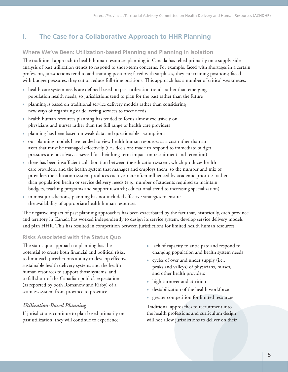# **The Case for a Collaborative Approach to HHR Planning**

# **Where We've Been: Utilization-based Planning and Planning in Isolation**

The traditional approach to health human resources planning in Canada has relied primarily on a supply-side analysis of past utilization trends to respond to short-term concerns. For example, faced with shortages in a certain profession, jurisdictions tend to add training positions; faced with surpluses, they cut training positions; faced with budget pressures, they cut or reduce full-time positions. This approach has a number of critical weaknesses:

- health care system needs are defined based on past utilization trends rather than emerging population health needs, so jurisdictions tend to plan for the past rather than the future
- planning is based on traditional service delivery models rather than considering new ways of organizing or delivering services to meet needs
- health human resources planning has tended to focus almost exclusively on physicians and nurses rather than the full range of health care providers
- planning has been based on weak data and questionable assumptions
- **•**  our planning models have tended to view health human resources as a cost rather than an asset that must be managed effectively (i.e., decisions made to respond to immediate budget pressures are not always assessed for their long-term impact on recruitment and retention)
- there has been insufficient collaboration between the education system, which produces health care providers, and the health system that manages and employs them, so the number and mix of providers the education system produces each year are often influenced by academic priorities rather than population health or service delivery needs (e.g., number of students required to maintain budgets, teaching programs and support research; educational trend to increasing specialization)
- **•**  in most jurisdictions, planning has not included effective strategies to ensure the availability of appropriate health human resources.

The negative impact of past planning approaches has been exacerbated by the fact that, historically, each province and territory in Canada has worked independently to design its service system, develop service delivery models and plan HHR. This has resulted in competition between jurisdictions for limited health human resources.

# **Risks Associated with the Status Quo**

The status quo approach to planning has the potential to create both financial and political risks, to limit each jurisdiction's ability to develop effective sustainable health delivery systems and the health human resources to support those systems, and to fall short of the Canadian public's expectation (as reported by both Romanow and Kirby) of a seamless system from province to province.

# *Utilization-Based Planning*

If jurisdictions continue to plan based primarily on past utilization, they will continue to experience:

- lack of capacity to anticipate and respond to changing population and health system needs
- cycles of over and under supply (i.e., peaks and valleys) of physicians, nurses, and other health providers
- **•**  high turnover and attrition
- **•**  destabilization of the health workforce
- greater competition for limited resources.

Traditional approaches to recruitment into the health professions and curriculum design will not allow jurisdictions to deliver on their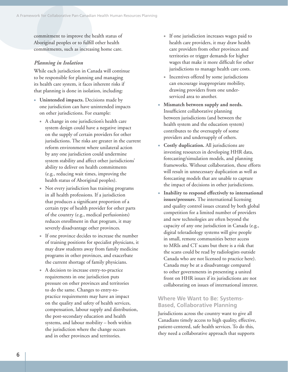commitment to improve the health status of Aboriginal peoples or to fulfill other health commitments, such as increasing home care.

#### *Planning in Isolation*

While each jurisdiction in Canada will continue to be responsible for planning and managing its health care system, it faces inherent risks if that planning is done in isolation, including:

- **• Unintended impacts.** Decisions made by one jurisdiction can have unintended impacts on other jurisdictions. For example:
	- **•**  A change in one jurisdiction's health care system design could have a negative impact on the supply of certain providers for other jurisdictions. The risks are greater in the current reform environment where unilateral action by any one jurisdiction could undermine system stability and affect other jurisdictions' ability to deliver on health commitments (e.g., reducing wait times, improving the health status of Aboriginal peoples).
	- **•**  Not every jurisdiction has training programs in all health professions. If a jurisdiction that produces a significant proportion of a certain type of health provider for other parts of the country (e.g., medical perfusionists) reduces enrollment in that program, it may severely disadvantage other provinces.
	- If one province decides to increase the number of training positions for specialist physicians, it may draw students away from family medicine programs in other provinces, and exacerbate the current shortage of family physicians.
	- **•**  A decision to increase entry-to-practice requirements in one jurisdiction puts pressure on other provinces and territories to do the same. Changes to entry-topractice requirements may have an impact on the quality and safety of health services, compensation, labour supply and distribution, the post-secondary education and health systems, and labour mobility – both within the jurisdiction where the change occurs and in other provinces and territories.
- **•**  If one jurisdiction increases wages paid to health care providers, it may draw health care providers from other provinces and territories or trigger demands for higher wages that make it more difficult for other jurisdictions to manage health care costs.
- Incentives offered by some jurisdictions can encourage inappropriate mobility, drawing providers from one underserviced area to another.
- **• Mismatch between supply and needs.** Insufficient collaborative planning between jurisdictions (and between the health system and the education system) contributes to the oversupply of some providers and undersupply of others.
- **• Costly duplication.** All jurisdictions are investing resources in developing HHR data, forecasting/simulation models, and planning frameworks. Without collaboration, these efforts will result in unnecessary duplication as well as forecasting models that are unable to capture the impact of decisions in other jurisdictions.
- **• Inability to respond effectively to international issues/pressure.** The international licensing and quality control issues created by both global competition for a limited number of providers and new technologies are often beyond the capacity of any one jurisdiction in Canada (e.g., digital teleradiology systems will give people in small, remote communities better access to MRIs and CT scans but there is a risk that the scans could be read by radiologists outside Canada who are not licensed to practice here). Canada may be at a disadvantage compared to other governments in presenting a united front on HHR issues if its jurisdictions are not collaborating on issues of international interest.

# **Where We Want to Be: Systems-Based, Collaborative Planning**

Jurisdictions across the country want to give all Canadians timely access to high quality, effective, patient-centered, safe health services. To do this, they need a collaborative approach that supports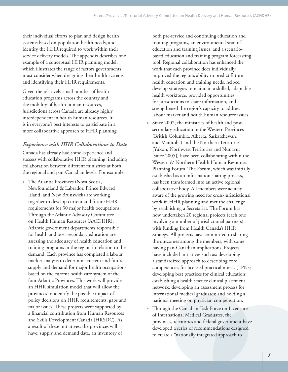their individual efforts to plan and design health systems based on population health needs, and identify the HHR required to work within their service delivery models. The appendix describes one example of a conceptual HHR planning model, which illustrates the range of factors governments must consider when designing their health systems and identifying their HHR requirements.

Given the relatively small number of health education programs across the country and the mobility of health human resources, jurisdictions across Canada are already highly interdependent in health human resources. It is in everyone's best interests to participate in a more collaborative approach to HHR planning.

#### *Experience with HHR Collaborations to Date*

Canada has already had some experience and success with collaborative HHR planning, including collaboration between different ministries at both the regional and pan-Canadian levels. For example:

**•**  The Atlantic Provinces (Nova Scotia, Newfoundland & Labrador, Prince Edward Island, and New Brunswick) are working together to develop current and future HHR requirements for 30 major health occupations. Through the Atlantic Advisory Committee on Health Human Resources (AACHHR), Atlantic government departments responsible for health and post-secondary education are assessing the adequacy of health education and training programs in the region in relation to the demand. Each province has completed a labour market analysis to determine current and future supply and demand for major health occupations based on the current health care system of the four Atlantic Provinces. This work will provide an HHR simulation model that will allow the provinces to identify the possible impact of policy decisions on HHR requirements, gaps and major issues. These projects were supported by a financial contribution from Human Resources and Skills Development Canada (HRSDC). As a result of these initiatives, the provinces will have: supply and demand data, an inventory of

both pre-service and continuing education and training programs, an environmental scan of education and training issues, and a scenariobased education and training program forecasting tool. Regional collaboration has enhanced the work that each province does individually, improved the region's ability to predict future health education and training needs, helped develop strategies to maintain a skilled, adaptable health workforce, provided opportunities for jurisdictions to share information, and strengthened the region's capacity to address labour market and health human resource issues.

- Since 2002, the ministries of health and postsecondary education in the Western Provinces (British Columbia, Alberta, Saskatchewan, and Manitoba) and the Northern Territories (Yukon, Northwest Territories and Nunavut [since 2005]) have been collaborating within the Western & Northern Health Human Resources Planning Forum. The Forum, which was initially established as an information sharing process, has been transformed into an active regional collaborative body. All members were acutely aware of the growing need for cross-jurisdictional work in HHR planning and met the challenge by establishing a Secretariat. The Forum has now undertaken 20 regional projects (each one involving a number of jurisdictional partners) with funding from Health Canada's HHR Strategy. All projects have committed to sharing the outcomes among the members, with some having pan-Canadian implications. Projects have included initiatives such as: developing a standardized approach to describing core competencies for licensed practical nurses (LPNs; developing best practices for clinical education; establishing a health science clinical placement network; developing an assessment process for international medical graduates; and holding a national meeting on physician compensation.
- Through the Canadian Task Force on Licensure of International Medical Graduates, the provinces, territories and federal government have developed a series of recommendations designed to create a "nationally integrated approach to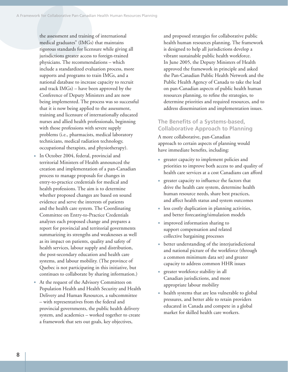the assessment and training of international medical graduates" (IMGs) that maintains rigorous standards for licensure while giving all jurisdictions greater access to foreign-trained physicians. The recommendations – which include a standardized evaluation process, more supports and programs to train IMGs, and a national database to increase capacity to recruit and track IMGs) – have been approved by the Conference of Deputy Ministers and are now being implemented. The process was so successful that it is now being applied to the assessment, training and licensure of internationally educated nurses and allied health professionals, beginning with those professions with severe supply problems (i.e., pharmacists, medical laboratory technicians, medical radiation technology, occupational therapists, and physiotherapy).

- **•**  In October 2004, federal, provincial and territorial Ministers of Health announced the creation and implementation of a pan-Canadian process to manage proposals for changes in entry-to-practice credentials for medical and health professions. The aim is to determine whether proposed changes are based on sound evidence and serve the interests of patients and the health care system. The Coordinating Committee on Entry-to-Practice Credentials analyzes each proposed change and prepares a report for provincial and territorial governments summarizing its strengths and weaknesses as well as its impact on patients, quality and safety of health services, labour supply and distribution, the post-secondary education and health care systems, and labour mobility. (The province of Quebec is not participating in this initiative, but continues to collaborate by sharing information.)
- At the request of the Advisory Committees on Population Health and Health Security and Health Delivery and Human Resources, a subcommittee – with representatives from the federal and provincial governments, the public health delivery system, and academics – worked together to create a framework that sets out goals, key objectives,

and proposed strategies for collaborative public health human resources planning. The framework is designed to help all jurisdictions develop a vibrant sustainable public health workforce. In June 2005, the Deputy Ministers of Health approved the framework in principle and asked the Pan-Canadian Public Health Network and the Public Health Agency of Canada to take the lead on pan-Canadian aspects of public health human resources planning, to refine the strategies, to determine priorities and required resources, and to address dissemination and implementation issues.

# **The Benefits of a Systems-based, Collaborative Approach to Planning**

A more collaborative, pan-Canadian approach to certain aspects of planning would have immediate benefits, including:

- **•**  greater capacity to implement policies and priorities to improve both access to and quality of health care services at a cost Canadians can afford
- **•**  greater capacity to influence the factors that drive the health care system, determine health human resource needs, share best practices, and affect health status and system outcomes
- less costly duplication in planning activities, and better forecasting/simulation models
- improved information sharing to support compensation and related collective bargaining processes
- better understanding of the interjurisdictional and national picture of the workforce (through a common minimum data set) and greater capacity to address common HHR issues
- greater workforce stability in all Canadian jurisdictions, and more appropriate labour mobility
- health systems that are less vulnerable to global pressures, and better able to retain providers educated in Canada and compete in a global market for skilled health care workers.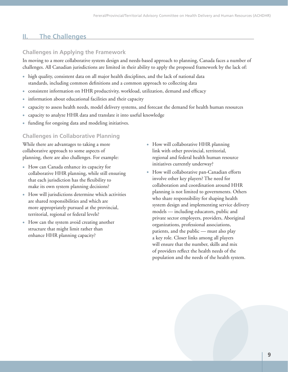# **II. The Challenges**

# **Challenges in Applying the Framework**

In moving to a more collaborative system design and needs-based approach to planning, Canada faces a number of challenges. All Canadian jurisdictions are limited in their ability to apply the proposed framework by the lack of:

- **•**  high quality, consistent data on all major health disciplines, and the lack of national data standards, including common definitions and a common approach to collecting data
- **•**  consistent information on HHR productivity, workload, utilization, demand and efficacy
- **•**  information about educational facilities and their capacity
- **•**  capacity to assess health needs, model delivery systems, and forecast the demand for health human resources
- capacity to analyze HHR data and translate it into useful knowledge
- funding for ongoing data and modeling initiatives.

#### **Challenges in Collaborative Planning**

While there are advantages to taking a more collaborative approach to some aspects of planning, there are also challenges. For example:

- **•**  How can Canada enhance its capacity for collaborative HHR planning, while still ensuring that each jurisdiction has the flexibility to make its own system planning decisions?
- How will jurisdictions determine which activities are shared responsibilities and which are more appropriately pursued at the provincial, territorial, regional or federal levels?
- **•**  How can the system avoid creating another structure that might limit rather than enhance HHR planning capacity?
- **•**  How will collaborative HHR planning link with other provincial, territorial, regional and federal health human resource initiatives currently underway?
- **•**  How will collaborative pan-Canadian efforts involve other key players? The need for collaboration and coordination around HHR planning is not limited to governments. Others who share responsibility for shaping health system design and implementing service delivery models — including educators, public and private sector employers, providers, Aboriginal organizations, professional associations, patients, and the public — must also play a key role. Closer links among all players will ensure that the number, skills and mix of providers reflect the health needs of the population and the needs of the health system.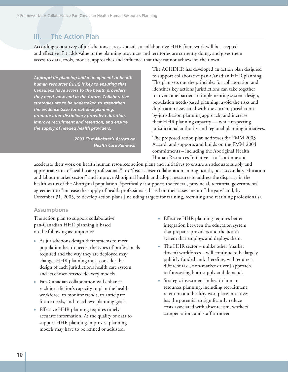# **III. The Action Plan**

According to a survey of jurisdictions across Canada, a collaborative HHR framework will be accepted and effective if it adds value to the planning provinces and territories are currently doing, and gives them access to data, tools, models, approaches and influence that they cannot achieve on their own.

*Appropriate planning and management of health human resources (HHR) is key to ensuring that Canadians have access to the health providers they need, now and in the future. Collaborative strategies are to be undertaken to strengthen the evidence base for national planning, promote inter-disciplinary provider education, improve recruitment and retention, and ensure the supply of needed health providers.*

> *2003 First Minister's Accord on Health Care Renewal*

The ACHDHR has developed an action plan designed to support collaborative pan-Canadian HHR planning. The plan sets out the principles for collaboration and identifies key actions jurisdictions can take together to: overcome barriers to implementing system-design, population needs-based planning; avoid the risks and duplication associated with the current jurisdictionby-jurisdiction planning approach; and increase their HHR planning capacity — while respecting jurisdictional authority and regional planning initiatives.

The proposed action plan addresses the FMM 2003 Accord, and supports and builds on the FMM 2004 commitments – including the Aboriginal Health Human Resources Initiative – to "continue and

accelerate their work on health human resources action plans and initiatives to ensure an adequate supply and appropriate mix of health care professionals", to "foster closer collaboration among health, post-secondary education and labour market sectors" and improve Aboriginal health and adopt measures to address the disparity in the health status of the Aboriginal population. Specifically it supports the federal, provincial, territorial governments' agreement to "increase the supply of health professionals, based on their assessment of the gaps" and, by December 31, 2005, to develop action plans (including targets for training, recruiting and retaining professionals).

#### **Assumptions**

The action plan to support collaborative pan-Canadian HHR planning is based on the following assumptions:

- As jurisdictions design their systems to meet population health needs, the types of professionals required and the way they are deployed may change. HHR planning must consider the design of each jurisdiction's health care system and its chosen service delivery models.
- **•**  Pan-Canadian collaboration will enhance each jurisdiction's capacity to plan the health workforce, to monitor trends, to anticipate future needs, and to achieve planning goals.
- **•**  Effective HHR planning requires timely accurate information. As the quality of data to support HHR planning improves, planning models may have to be refined or adjusted.
- **•**  Effective HHR planning requires better integration between the education system that prepares providers and the health system that employs and deploys them.
- **•**  The HHR sector unlike other (market driven) workforces – will continue to be largely publicly funded and, therefore, will require a different (i.e., non-market driven) approach to forecasting both supply and demand.
- **•**  Strategic investment in health human resources planning, including recruitment, retention and healthy workplace initiatives, has the potential to significantly reduce costs associated with absenteeism, workers' compensation, and staff turnover.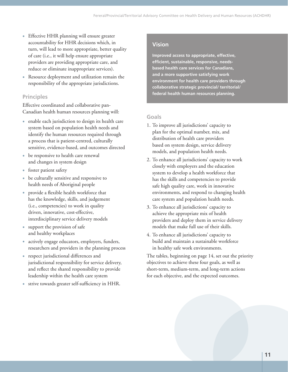- **•**  Effective HHR planning will ensure greater accountability for HHR decisions which, in turn, will lead to more appropriate, better quality of care (i.e., it will help ensure appropriate providers are providing appropriate care, and reduce or eliminate inappropriate services).
- **•**  Resource deployment and utilization remain the responsibility of the appropriate jurisdictions.

# **Principles**

Effective coordinated and collaborative pan-Canadian health human resources planning will:

- **•**  enable each jurisdiction to design its health care system based on population health needs and identify the human resources required through a process that is patient-centred, culturally sensitive, evidence-based, and outcomes directed
- be responsive to health care renewal and changes in system design
- **•**  foster patient safety
- **•**  be culturally sensitive and responsive to health needs of Aboriginal people
- **•**  provide a flexible health workforce that has the knowledge, skills, and judgement (i.e., competencies) to work in quality driven, innovative, cost-effective, interdisciplinary service delivery models
- support the provision of safe and healthy workplaces
- actively engage educators, employers, funders, researchers and providers in the planning process
- **•**  respect jurisdictional differences and jurisdictional responsibility for service delivery, and reflect the shared responsibility to provide leadership within the health care system
- **•**  strive towards greater self-sufficiency in HHR.

# **Vision**

**Improved access to appropriate, effective, efficient, sustainable, responsive, needsbased health care services for Canadians, and a more supportive satisfying work environment for health care providers through collaborative strategic provincial/ territorial/ federal health human resources planning.**

#### **Goals**

- 1. To improve all jurisdictions' capacity to plan for the optimal number, mix, and distribution of health care providers based on system design, service delivery models, and population health needs.
- 2. To enhance all jurisdictions' capacity to work closely with employers and the education system to develop a health workforce that has the skills and competencies to provide safe high quality care, work in innovative environments, and respond to changing health care system and population health needs.
- 3. To enhance all jurisdictions' capacity to achieve the appropriate mix of health providers and deploy them in service delivery models that make full use of their skills.
- 4. To enhance all jurisdictions' capacity to build and maintain a sustainable workforce in healthy safe work environments.

The tables, beginning on page 14, set out the priority objectives to achieve these four goals, as well as short-term, medium-term, and long-term actions for each objective, and the expected outcomes.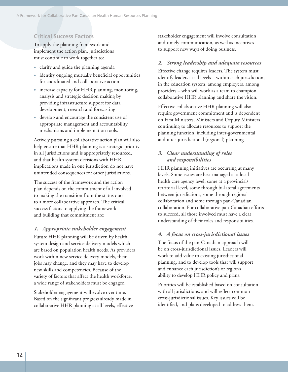# **Critical Success Factors**

To apply the planning framework and implement the action plan, jurisdictions must continue to work together to:

- **•**  clarify and guide the planning agenda
- identify ongoing mutually beneficial opportunities for coordinated and collaborative action
- increase capacity for HHR planning, monitoring, analysis and strategic decision making by providing infrastructure support for data development, research and forecasting
- develop and encourage the consistent use of appropriate management and accountability mechanisms and implementation tools.

Actively pursuing a collaborative action plan will also help ensure that HHR planning is a strategic priority in all jurisdictions and is appropriately resourced, and that health system decisions with HHR implications made in one jurisdiction do not have unintended consequences for other jurisdictions.

The success of the framework and the action plan depends on the commitment of all involved to making the transition from the status quo to a more collaborative approach. The critical success factors to applying the framework and building that commitment are:

# *1. Appropriate stakeholder engagement*

Future HHR planning will be driven by health system design and service delivery models which are based on population health needs. As providers work within new service delivery models, their jobs may change, and they may have to develop new skills and competencies. Because of the variety of factors that affect the health workforce, a wide range of stakeholders must be engaged.

Stakeholder engagement will evolve over time. Based on the significant progress already made in collaborative HHR planning at all levels, effective stakeholder engagement will involve consultation and timely communication, as well as incentives to support new ways of doing business.

#### *2. Strong leadership and adequate resources*

Effective change requires leaders. The system must identify leaders at all levels – within each jurisdiction, in the education system, among employers, among providers – who will work as a team to champion collaborative HHR planning and share the vision.

Effective collaborative HHR planning will also require government commitment and is dependent on First Ministers, Ministers and Deputy Ministers continuing to allocate resources to support the planning function, including inter-governmental and inter-jurisdictional (regional) planning.

# *3. Clear understanding of roles and responsibilities*

HHR planning initiatives are occurring at many levels. Some issues are best managed at a local health care agency level, some at a provincial/ territorial level, some through bi-lateral agreements between jurisdictions, some through regional collaboration and some through pan-Canadian collaboration. For collaborative pan-Canadian efforts to succeed, all those involved must have a clear understanding of their roles and responsibilities.

# *4. A focus on cross-jurisdictional issues*

The focus of the pan-Canadian approach will be on cross-jurisdictional issues. Leaders will work to add value to existing jurisdictional planning, and to develop tools that will support and enhance each jurisdiction's or region's ability to develop HHR policy and plans.

Priorities will be established based on consultation with all jurisdictions, and will reflect common cross-jurisdictional issues. Key issues will be identified, and plans developed to address them.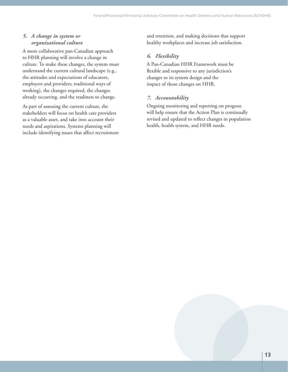#### *5. A change in system or organizational culture*

A more collaborative pan-Canadian approach to HHR planning will involve a change in culture. To make these changes, the system must understand the current cultural landscape (e.g., the attitudes and expectations of educators, employers and providers; traditional ways of working), the changes required, the changes already occurring, and the readiness to change.

As part of assessing the current culture, the stakeholders will focus on health care providers as a valuable asset, and take into account their needs and aspirations. Systems planning will include identifying issues that affect recruitment and retention, and making decisions that support healthy workplaces and increase job satisfaction.

#### *6. Flexibility*

A Pan-Canadian HHR Framework must be flexible and responsive to any jurisdiction's changes to its system design and the impact of those changes on HHR.

#### *7. Accountability*

Ongoing monitoring and reporting on progress will help ensure that the Action Plan is continually revised and updated to reflect changes in population health, health system, and HHR needs.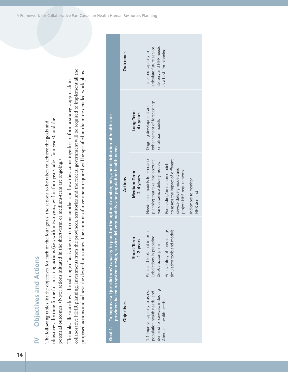objectives, the time-frame for initiating actions (i.e., within two years, within four years, after four years), and the objectives, the time-frame for initiating actions (i.e., within two years, within four years, after four years), and the The following tables list the objectives for each of the four goals, the actions to be taken to achieve the goals and The following tables list the objectives for each of the four goals, the actions to be taken to achieve the goals and potential outcomes. (Note: actions initiated in the short-term or medium-term are ongoing.) potential outcomes. (Note: actions initiated in the short-term or medium-term are ongoing.)

collaborative HHR planning. Investments from the provinces, territories and the federal government will be required to implement all the collaborative HHR planning. Investments from the provinces, territories and the federal government will be required to implement all the proposed actions and achieve the desired outcomes. The amount of investment required will be specified in the more detailed work plans. proposed actions and achieve the desired outcomes. The amount of investment required will be specified in the more detailed work plans.The tables illustrate how a broad range of activities relate to one another and how they come together to form a strategic approach to The tables illustrate how a broad range of activities relate to one another and how they come together to form a strategic approach to

|                                                                                                                     | <b>Outcomes</b> |                          | delivery and HHR needs<br>articulate future service<br>as a basis for planning<br>Increased capacity to                                                                                                                                                                      |
|---------------------------------------------------------------------------------------------------------------------|-----------------|--------------------------|------------------------------------------------------------------------------------------------------------------------------------------------------------------------------------------------------------------------------------------------------------------------------|
|                                                                                                                     |                 | Long-Term<br>4+ years    | enhancement of forecasting/<br>Ongoing development and<br>simulation models                                                                                                                                                                                                  |
| Goal 1. To improve all jurisdictions' capacity to plan for the optimal number, mix, and distribution of health care | <b>Actions</b>  | Medium-Term<br>2-4 years | Need-based models for scenario<br>to assess the impact of different<br>planning that take into account<br>various service delivery models<br>Forecasting/simulation models<br>service delivery models and<br>project HHR requirements<br>Indicators to monitor<br>HHR demand |
| providers based on system design, service delivery models, and population health needs                              |                 | Short-Term<br>1-2 years  | simulation tools and models<br>An inventory of forecasting/<br>Plans and tools that inform<br>jurisdictions in preparing<br>Dec/05 action plans                                                                                                                              |
|                                                                                                                     | Objectives      |                          | demand for services, including<br>1.1 Improve capacity to assess<br>population health needs, and<br>Aboriginal health needs                                                                                                                                                  |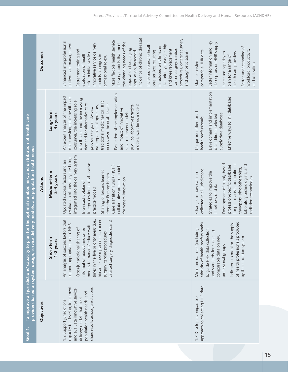| providers based on system design, serv<br>Goal 1.                                                                                                                                                   |                                                                                                                                                                                                                                                                                                                                | To improve all jurisdictions' capacity to plan for the optimal number, mix, and distribution of health care<br>ice delivery models, and population health needs                                                                                                                                                                           |                                                                                                                                                                                                                                                                                                                                                                                                                                                             |                                                                                                                                                                                                                                                                                                                                                                                                                                                                                                                                                                                                                                    |
|-----------------------------------------------------------------------------------------------------------------------------------------------------------------------------------------------------|--------------------------------------------------------------------------------------------------------------------------------------------------------------------------------------------------------------------------------------------------------------------------------------------------------------------------------|-------------------------------------------------------------------------------------------------------------------------------------------------------------------------------------------------------------------------------------------------------------------------------------------------------------------------------------------|-------------------------------------------------------------------------------------------------------------------------------------------------------------------------------------------------------------------------------------------------------------------------------------------------------------------------------------------------------------------------------------------------------------------------------------------------------------|------------------------------------------------------------------------------------------------------------------------------------------------------------------------------------------------------------------------------------------------------------------------------------------------------------------------------------------------------------------------------------------------------------------------------------------------------------------------------------------------------------------------------------------------------------------------------------------------------------------------------------|
| Objectives                                                                                                                                                                                          |                                                                                                                                                                                                                                                                                                                                | Actions                                                                                                                                                                                                                                                                                                                                   |                                                                                                                                                                                                                                                                                                                                                                                                                                                             | <b>Outcomes</b>                                                                                                                                                                                                                                                                                                                                                                                                                                                                                                                                                                                                                    |
|                                                                                                                                                                                                     | Short-Term<br>1-2 years                                                                                                                                                                                                                                                                                                        | Medium-Term<br>$2-4$ years                                                                                                                                                                                                                                                                                                                | Long-Term<br>4+ years                                                                                                                                                                                                                                                                                                                                                                                                                                       |                                                                                                                                                                                                                                                                                                                                                                                                                                                                                                                                                                                                                                    |
| capacity to: develop, implement<br>share results across jurisdictions<br>and evaluate innovative service<br>population health needs; and<br>delivery models that meet<br>1.2 Support jurisdictions' | An analysis of success factors that<br>times in the five priority areas (i.e.,<br>hip and knee replacement, cancer<br>cataract surgery, diagnostic scans)<br>support appropriate use of HHR<br>models to manage/reduce wait<br>information about innovative<br>Cross-jurisdictional sharing of<br>surgery, cardiac procedures, | integrated into the delivery system<br>evaluation of how they are being<br>Updated success factors and an<br>interprofessional collaborative<br>collaborative practice models<br>Care Transition Fund (PHCTF)<br>Sharing of lessons learned<br>from the Primary Health<br>for system innovation<br>Increased uptake of<br>practice models | Evaluation of the implementation<br>An expert analysis of the impact<br>of a knowledgeable health care<br>of self-care, and the increasing<br>consumer, the increasing role<br>traditional medicine) on HHR<br>demand for alternative care<br>needs over the next decade<br>models, wait times models)<br>naturopaths, chiropractors,<br>(e.g., collaborative practice<br>providers (e.g., midwives,<br>and impact of innovative<br>service delivery models | incidence of chronic disease)<br>procedures, cataract surgery<br>More flexible health service<br>Enhanced interprofessional<br>the changing needs of the<br>delivery models that meet<br>Increased access to health<br>patient care management<br>innovative service delivery<br>five priority areas (i.e. hip<br>in reduced wait times in<br>cancer surgery, cardiac<br>population (i.e., aging<br>and knee replacement,<br>Better monitoring and<br>reform initiatives (e.g.,<br>population, increased<br>care services resulting<br>and diagnostic scans)<br>evaluation of health<br>models, changes in<br>professional roles). |
| approach to collecting HHR data<br>1.3 Develop a comparable                                                                                                                                         | of health professionals produced<br>ethnicity of health professionals)<br>Indicators to monitor the supply<br>Minimum data set (including<br>to guide HHR data collection<br>and standards for collecting<br>new<br>stem<br>professional groups<br>comparable data or<br>by the education sy                                   | Development of supply-based<br>for pharmacists, occupational<br>laboratory technologists, and<br>profession-specific databases<br>therapists, physiotherapists,<br>collected in all jurisdictions<br>Changes in how data are<br>Strategies to improve the<br>radiation technologies<br>timeliness of data                                 | Development and implementation<br>Effective ways to link databases<br>Unique identifier for all<br>supply data databases<br>of additional selected<br>nealth professionals                                                                                                                                                                                                                                                                                  | Better information and key<br>descriptors on HHR supply<br>Better understanding of<br>workload, productivity<br>comparable HHR data<br>health care providers<br>Increased capacity to<br>plan for a range of<br>More consistent<br>and utilization                                                                                                                                                                                                                                                                                                                                                                                 |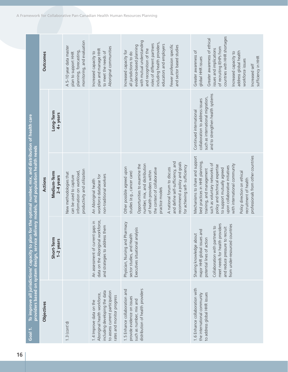|                                                                                                                       | <b>Outcomes</b> |                           | monitoring, and evaluation<br>A 5-10 year data master<br>planning, forecasting,<br>plan to support HHR       | Aboriginal communities<br>plan and manage HHR<br>to meet the needs of<br>Increased capacity to                                                            | with mutual understanding<br>including health providers,<br>roles of different partners<br>educators and employers<br>Fewer profession specific<br>evidence-based planning<br>and sector based studies<br>and recognition of the<br>Increased capacity for<br>all jurisdictions to do                                                             | countries with HHR shortages<br>Greater awareness of ethical<br>of recruiting IEHPs from<br>issues and implications<br>Greater awareness of<br>address global health<br>Increased capacity to<br>sufficiency in HHR<br>global HHR issues<br>workforce issues<br>Increased self                                                                                 |
|-----------------------------------------------------------------------------------------------------------------------|-----------------|---------------------------|--------------------------------------------------------------------------------------------------------------|-----------------------------------------------------------------------------------------------------------------------------------------------------------|---------------------------------------------------------------------------------------------------------------------------------------------------------------------------------------------------------------------------------------------------------------------------------------------------------------------------------------------------|----------------------------------------------------------------------------------------------------------------------------------------------------------------------------------------------------------------------------------------------------------------------------------------------------------------------------------------------------------------|
|                                                                                                                       | Actions         | Long-Term<br>4+ years     |                                                                                                              |                                                                                                                                                           |                                                                                                                                                                                                                                                                                                                                                   | and to strengthen health systems<br>such as international migration,<br>collaboration to address issues<br>Continued international                                                                                                                                                                                                                             |
| plan for the optimal number, mix, and distribution of health care<br>ice delivery models, and population health needs |                 | Medium-Term<br>2-4 years  | productivity and utilization<br>information on workload,<br>New methodologies that<br>can be used to capture | non-traditional workers<br>workforce database for<br>An Aboriginal health                                                                                 | and define self-sufficiency, and<br>recommend a policy and goals<br>Opportunities to examine the<br>number, mix, and distribution<br>for achieving self- sufficiency<br>A national forum to discuss<br>Other possible agreed upon<br>the context of collaborative<br>of health providers within<br>studies (e.g., cancer care)<br>practice models | professionals from other countries<br>Mechanisms to share and support<br>best practices in HHR planning<br>such as voluntary networks of<br>with international community<br>policy and technical expertise<br>upon collaborative initiatives<br>to support mutually agreed<br>training, and management<br>Policy direction on ethical<br>recruitment of health |
|                                                                                                                       |                 | Short-Term<br>$1-2$ years |                                                                                                              | data on the Aboriginal workforce,<br>An assessment of current gaps in<br>and strategies to address them                                                   | Physician, Nursing and Pharmacy<br>Executives situational analysis<br>sector studies, and Health                                                                                                                                                                                                                                                  | meet needs for health providers<br>from under-resourced countries<br>Collaboration with partners to<br>and reduce pressure to recruit<br>major HHR global issues and<br>about<br>potential lines of action<br>Sharing knowledge                                                                                                                                |
| providers based on system design, servi<br>To improve all jurisdictions' capacity to<br>Goal 1.                       | Objectives      |                           | $1.3$ (cont'd)                                                                                               | including developing the data<br>to assess current participation<br>Aboriginal health workforce,<br>rates and monitor progress<br>1.4 Improve data on the | distribution of health providers<br>1.5 Enhance collaboration and<br>provide evidence on issues<br>such as number, mix and                                                                                                                                                                                                                        | 1.6 Enhance collaboration with<br>the international community<br>to address global HHR issues                                                                                                                                                                                                                                                                  |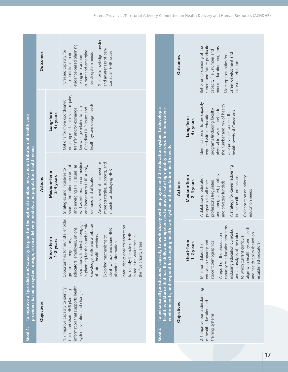| Goal 1.                                                                                                                               | providers based on system design, service delivery models, and population health needs<br>To improve all jurisdictions' capacity to                                                                                                                                                                                                                                                                                                                        | plan for the optimal number, mix, and distribution of health care                                                                                                                                                                                                                     |                                                                                                                                                                                  |                                                                                                                                                                                                                                   |
|---------------------------------------------------------------------------------------------------------------------------------------|------------------------------------------------------------------------------------------------------------------------------------------------------------------------------------------------------------------------------------------------------------------------------------------------------------------------------------------------------------------------------------------------------------------------------------------------------------|---------------------------------------------------------------------------------------------------------------------------------------------------------------------------------------------------------------------------------------------------------------------------------------|----------------------------------------------------------------------------------------------------------------------------------------------------------------------------------|-----------------------------------------------------------------------------------------------------------------------------------------------------------------------------------------------------------------------------------|
| <b>Objectives</b>                                                                                                                     |                                                                                                                                                                                                                                                                                                                                                                                                                                                            | Actions                                                                                                                                                                                                                                                                               |                                                                                                                                                                                  | <b>Outcomes</b>                                                                                                                                                                                                                   |
|                                                                                                                                       | Short-Term<br>$1-2$ years                                                                                                                                                                                                                                                                                                                                                                                                                                  | Medium-Term<br>$2-4$ years                                                                                                                                                                                                                                                            | Long-Term<br>4+ years                                                                                                                                                            |                                                                                                                                                                                                                                   |
| information that supports health<br>1.7 Improve capacity to identify,<br>track, and share HHR planning<br>system evolution and change | Opportunities for multistakeholder<br>associations, funders) to engage<br>in planning for the number, mix,<br>knowledge, skills and attributes<br>Interjurisdictional collaboration<br>educators, employers, unions,<br>identify, track and share HHR<br>to identify the role of HHR<br>of future health providers<br>in reducing wait times in<br>Exploring mechanisms to<br>groups (i.e., regulators,<br>the five priority areas<br>planning information | well as information on medium<br>An assessment of the need for<br>more strategies, supports, and<br>share information on current<br>and emerging HHR issues, as<br>and longer-term HHR supply,<br>Strategies and initiatives to<br>models for deploying HHR<br>demand and utilization | ongoing mechanisms to acquire,<br>Options for more coordinated<br>health system design needs<br>knowledge related to pan-<br>Canadian HHR issues and<br>transfer and/or exchange | Greater knowledge transfer<br>evidence-based planning,<br>and awareness of pan-<br>Increased capacity for<br>current and emerging<br>Canadian HHR issues<br>all jurisdictions to do<br>health system needs<br>taking into account |
|                                                                                                                                       |                                                                                                                                                                                                                                                                                                                                                                                                                                                            |                                                                                                                                                                                                                                                                                       |                                                                                                                                                                                  |                                                                                                                                                                                                                                   |
| Goal <sub>2</sub>                                                                                                                     | To enhance all jurisdictions' capacity to work closely with employers and the education system to develop a<br>health workforce that has the skills and competencies to provide safe high-quality care, work in innovative<br>environments, and respond to changing health care system and population health needs                                                                                                                                         |                                                                                                                                                                                                                                                                                       |                                                                                                                                                                                  |                                                                                                                                                                                                                                   |
| <b>Objectives</b>                                                                                                                     |                                                                                                                                                                                                                                                                                                                                                                                                                                                            | Actions                                                                                                                                                                                                                                                                               |                                                                                                                                                                                  | <b>Outcomes</b>                                                                                                                                                                                                                   |
|                                                                                                                                       | Short-Term                                                                                                                                                                                                                                                                                                                                                                                                                                                 | Medium-Term                                                                                                                                                                                                                                                                           | I ona-Term                                                                                                                                                                       |                                                                                                                                                                                                                                   |

|                                                                                      | <b>Outcomes</b>   |                          | current and future production<br>Better understanding of the<br>mix) of education programs<br>capacity (i.e., number and<br>career development and<br>More opportunities for<br>increased retention                                                                                                                                |
|--------------------------------------------------------------------------------------|-------------------|--------------------------|------------------------------------------------------------------------------------------------------------------------------------------------------------------------------------------------------------------------------------------------------------------------------------------------------------------------------------|
|                                                                                      |                   | Long-Term<br>4+ years    | Identification of future capacity<br>physical infrastructure) to train<br>the number and mix of health<br>programs (including faculty/<br>health needs of Canadians<br>care providers to meet the<br>required within education                                                                                                     |
|                                                                                      | <b>Actions</b>    | Medium-Term<br>2-4 years | A strategy for career laddering<br>and unregulated, publicly<br>Collaboration on priority<br>A database of education<br>in the health professions<br>professions (regulated<br>programs for all other<br>and privately funded)<br>education needs                                                                                  |
| environments, and respond to changing health care system and population health needs |                   | Short-Term<br>1-2 years  | capacity of education programs<br>align with health system needs<br>including education curricula,<br>and an analysis of the extent<br>and health policy (based on<br>A report on the production<br>to which current curricula<br>education capacity and<br>student demographics<br>established indicators)<br>Minimum dataset for |
|                                                                                      | <b>Objectives</b> |                          | 2.1 Improve our understanding<br>of health education and<br>training systems                                                                                                                                                                                                                                                       |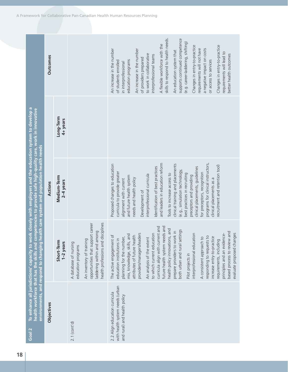| environments, and respond to changin<br>Objectives<br>Goal 2                                     | To enhance all jurisdictions' capacity to work closely with employers and the education system to develop a<br>health workforce that has the skills and competencies to provide safe high-quality care, work in innovative<br>Short-Term<br>1-2 years                                                                                                                                                                                                                                                                                                                                                                                                                                      | og health care system and population health needs<br>Medium-Term<br>2-4 years<br>Actions                                                                                                                                                                                                                                                                                                                                                                                                                                                                                                                     | Long-Term<br>4+ years | <b>Outcomes</b>                                                                                                                                                                                                                                                                                                                                                                                                                                                                                                                                                                                   |
|--------------------------------------------------------------------------------------------------|--------------------------------------------------------------------------------------------------------------------------------------------------------------------------------------------------------------------------------------------------------------------------------------------------------------------------------------------------------------------------------------------------------------------------------------------------------------------------------------------------------------------------------------------------------------------------------------------------------------------------------------------------------------------------------------------|--------------------------------------------------------------------------------------------------------------------------------------------------------------------------------------------------------------------------------------------------------------------------------------------------------------------------------------------------------------------------------------------------------------------------------------------------------------------------------------------------------------------------------------------------------------------------------------------------------------|-----------------------|---------------------------------------------------------------------------------------------------------------------------------------------------------------------------------------------------------------------------------------------------------------------------------------------------------------------------------------------------------------------------------------------------------------------------------------------------------------------------------------------------------------------------------------------------------------------------------------------------|
| $2.1$ (cont'd)                                                                                   | health professions and disciplines<br>opportunities that support career<br>laddering within and among<br>An inventory of training<br>A database of nursing<br>education programs                                                                                                                                                                                                                                                                                                                                                                                                                                                                                                           |                                                                                                                                                                                                                                                                                                                                                                                                                                                                                                                                                                                                              |                       |                                                                                                                                                                                                                                                                                                                                                                                                                                                                                                                                                                                                   |
| with health system needs (urban<br>2.2 Align education curricula<br>and rural) and health policy | future health system needs and<br>curricula align with current and<br>health policy innovations, and<br>both urban and rural settings<br>prepare providers to work in<br>based process to review and<br>providers/managers/leaders<br>evaluate proposed changes<br>ucation<br>ucation<br>principles and an evidence-<br>mix, knowledge, skills, and<br>attributes of future health<br>The active engagement of<br>responding to requests to<br>increase entry-to-practice<br>planning for the number,<br>A consistent approach to<br>An analysis of the extent<br>education institutions in<br>requirements, including<br>to which current ed<br>interprofessional ed<br>Pilot projects in | and leaders in education reform<br>programs for clinical instructors,<br>Proposed changes to education<br>clinical training and placements<br>ecruitment and retention tool)<br>Identification of best practices<br>clinical placements, guidelines<br>(e.g., simulation technology,<br>curricula to provide greater<br>for preceptors, recognition<br>best practices in recruiting<br>Tools to increase access to<br>interprofessional curricula<br>preceptors and providing<br>and future health system<br>needs and health policy<br>clinical placements as a<br>alignment with current<br>Development of |                       | skills to respond to health needs.<br>supports continued competence<br>(e.g. career-laddering, shifting)<br>A flexible workforce with the<br>Changes in entry-to-practice<br>Changes in entry-to-practice<br>a negative impact on costs<br>requirements will not have<br>An increase in the number<br>An increase in the number<br>An education system that<br>requirements will lead to<br>to work in collaborative<br>better health outcomes<br>interprofessional teams<br>of providers prepared<br>education programs<br>or access to services<br>of students enrolled<br>in interprofessional |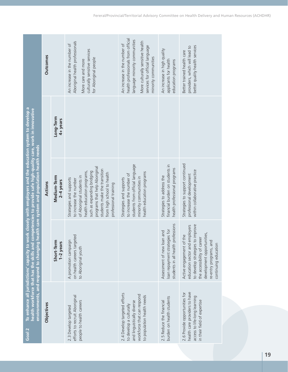|                                                                                                                                                                                                                                                                                                                    | <b>Outcomes</b> |                            | Aboriginal health professionals<br>An increase in the number of<br>culturally sensitive services<br>for Aboriginal people<br>More care and more                                                                                                                    | health professionals from official<br>language minority communities<br>More culturally sensitive health<br>An increase in the number of<br>services for official language<br>minority communities | An increase in high quality<br>applicants for health<br>education programs                           | better quality health services<br>providers, which will lead to<br>Better trained health care                                                                                                                 |
|--------------------------------------------------------------------------------------------------------------------------------------------------------------------------------------------------------------------------------------------------------------------------------------------------------------------|-----------------|----------------------------|--------------------------------------------------------------------------------------------------------------------------------------------------------------------------------------------------------------------------------------------------------------------|---------------------------------------------------------------------------------------------------------------------------------------------------------------------------------------------------|------------------------------------------------------------------------------------------------------|---------------------------------------------------------------------------------------------------------------------------------------------------------------------------------------------------------------|
| To enhance all jurisdictions' capacity to work closely with employers and the education system to develop a<br>health workforce that has the skills and competencies to provide safe high-quality care, work in innovative<br>environments, and respond to changing health care system and population health needs |                 | Long-Term<br>4+ years      |                                                                                                                                                                                                                                                                    |                                                                                                                                                                                                   |                                                                                                      |                                                                                                                                                                                                               |
|                                                                                                                                                                                                                                                                                                                    | Actions         | Medium-Term<br>$2-4$ years | programs that help Aboriginal<br>students make the transition<br>such as expanding bridging<br>health education programs,<br>from high school to health<br>of Aboriginal students in<br>Strategies and supports<br>to increase the number<br>professional training | students from official language<br>health education programs<br>to increase the number of<br>minority communities in<br>Strategies and supports                                                   | financial burden on students in<br>health professional programs<br>Strategies to address the         | Strategies to support continued<br>within collaborative practice<br>professional development                                                                                                                  |
|                                                                                                                                                                                                                                                                                                                    |                 | Short-Term<br>$1-2$ years  | on health careers targeted<br>A promotion campaign<br>to Aboriginal youth                                                                                                                                                                                          |                                                                                                                                                                                                   | professions<br>loan repayment strategies for<br>Assessment of new loan and<br>students in all health | to develop strategies to improve<br>education sector and employers<br>development opportunities,<br>Active engagement of the<br>the accessibility of career<br>re-entry programs, and<br>continuing education |
| Goal 2                                                                                                                                                                                                                                                                                                             | Objectives      |                            | efforts to recruit Aboriginal<br>people to health careers<br>2.3 Develop targeted                                                                                                                                                                                  | 2.4 Develop targeted efforts<br>workforce that can respond<br>to population health needs<br>and linguistically diverse<br>to develop a culturally                                                 | burden on health students<br>2.5 Reduce the financial                                                | health care providers to have<br>2.6 Provide opportunities for<br>access to life-long learning<br>in their field of expertise                                                                                 |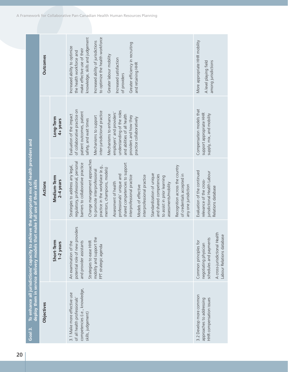| Goal 3.                                                                                                             | deploy them in service delivery models                                                                        | To enhance all jurisdictions' capacity to achieve the appropriate mix of health providers and<br>that make full use of their skills          |                                                                                                                 |                                                                                                                             |  |
|---------------------------------------------------------------------------------------------------------------------|---------------------------------------------------------------------------------------------------------------|----------------------------------------------------------------------------------------------------------------------------------------------|-----------------------------------------------------------------------------------------------------------------|-----------------------------------------------------------------------------------------------------------------------------|--|
| Objectives                                                                                                          |                                                                                                               | Actions                                                                                                                                      |                                                                                                                 | <b>Outcomes</b>                                                                                                             |  |
|                                                                                                                     | Short-Term<br>1-2 years                                                                                       | Medium-Term<br>2-4 years                                                                                                                     | Long-Term<br>4+ years                                                                                           |                                                                                                                             |  |
| competencies (i.e., knowledge,<br>3.1 Make more effective use<br>of all health professionals'<br>skills, judgement) | potential role of new providers<br>Strategies to ease HHR<br>and provider assistants<br>An examination of the | Change management approaches<br>regulatory, professional, personal<br>barriers to collaborative practice<br>Strategies to address any legal, | of collaborative practice on<br>patient outcomes, patient<br>Evaluation of the impact<br>safety, and wait times | knowledge, skills and judgement<br>Increased ability to optimize<br>make effective use of their<br>the health workforce and |  |
|                                                                                                                     | the<br>mobility and support<br>FPT strategic agenda                                                           | practice in the workplace (e.g.,<br>mentors, champions, models)<br>to promote interprofessional                                              | inter-jurisdictional practice<br>Mechanisms to enhance<br>Mechanisms to support                                 | to optimize the health workforce<br>Increased ability of jurisdictions<br>Greater labour mobility                           |  |
|                                                                                                                     |                                                                                                               | shared competencies to support<br>professionals' unique and<br>Assessment of health                                                          | understanding of the roles<br>employers' and providers'<br>and abilities of all health                          | Increased satisfaction<br>of providers                                                                                      |  |
|                                                                                                                     |                                                                                                               | interprofessional practice<br>interprofessional practice<br>Models of effective                                                              | providers and how they<br>practice collaboratively                                                              | Greater efficiency in recruiting<br>and retaining HHR                                                                       |  |
|                                                                                                                     |                                                                                                               | Standardization of unique<br>and shared competencies<br>to assist in prior learning<br>assessments/mobility                                  |                                                                                                                 |                                                                                                                             |  |
|                                                                                                                     |                                                                                                               | Recognition across the country<br>of credentials accepted in<br>any one jurisdiction                                                         |                                                                                                                 |                                                                                                                             |  |
| 3.2 Develop more common<br>HHR compensation issues<br>approaches to addressing                                      | schedules and payments<br>Common principles for<br>negotiating physician                                      | Evaluation of the continued<br>jurisdictional Health Labour<br>relevance of the cross-<br>Relations database                                 | Compensation models that<br>support appropriate HHR<br>supply, mix, and mobility                                | More appropriate HHR mobility<br>among jurisdictions<br>A level playing field                                               |  |
|                                                                                                                     | A cross-jurisdictional Health<br>Labour Relations database                                                    |                                                                                                                                              |                                                                                                                 |                                                                                                                             |  |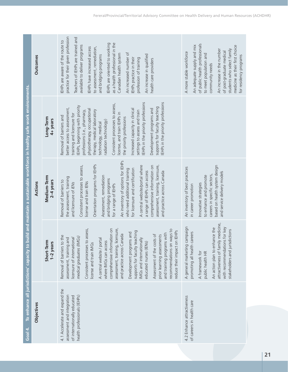|                                                                                                                         | <b>Outcomes</b>   |                                 | practice for their given profession<br>Teachers of IEHPs are trained and<br>IEHPs are aware of the route to<br>as a health professional in the<br>IEHPs are oriented to working<br>available to deliver programs<br>to assessment, remediation,<br>IEHPs have increased access<br>An increased number of<br>Canadian health system<br>An increase in qualified<br>and bridging programs<br>IEHPs practice in their<br>profession of training<br>health care providers                                                                                                                                                      | of public health professionals<br>medicine as their first choice<br>An adequate supply and mix<br>students who select family<br>An increase in the number<br>of post-graduate medical<br>A more stable workforce<br>to meet population and<br>for residency programs<br>community needs |
|-------------------------------------------------------------------------------------------------------------------------|-------------------|---------------------------------|----------------------------------------------------------------------------------------------------------------------------------------------------------------------------------------------------------------------------------------------------------------------------------------------------------------------------------------------------------------------------------------------------------------------------------------------------------------------------------------------------------------------------------------------------------------------------------------------------------------------------|-----------------------------------------------------------------------------------------------------------------------------------------------------------------------------------------------------------------------------------------------------------------------------------------|
|                                                                                                                         |                   | Long-Term<br>4+ years           | EHPs in the priority professions<br>EHPs in the priority professions<br>Consistent processes to assess,<br>EHPs, beginning with priority<br>supports for faculty teaching<br>better access to assessment,<br>Development programs and<br>physiotherapy, occupational<br>Increased capacity in clinical<br>therapy, medical laboratory<br>settings to assess and train<br>professions (i.e., pharmacy,<br>license, and train IEHPs in<br>training and licensure for<br>Removal of barriers and<br>the priority professions<br>adiation technology)<br>technology, medical                                                   |                                                                                                                                                                                                                                                                                         |
| To enhance all jurisdictions' capacity to build and maintain a sustainable workforce in healthy safe work environments. | Actions           | Medium-Term<br>2-4 years        | An inventory of options for IEHPs<br>Orientation programs for IEHPs<br>A central website/portal where<br>comprehensive information on<br>assessment, training, licensure,<br>Consistent processes to assess,<br>who need additional training<br>for licensure and certification<br>a range of IEHPs can access<br>and practice across Canada<br>Assessment, remediation<br>the assessment, training<br>and bridging programs<br>Removal of barriers to<br>license and train IENs<br>and licensure of IENs<br>for a range of IEHPs                                                                                          | based on health system design<br>An inventory of best practices<br>and service delivery models<br>careers in specific sectors,<br>to enhance and promote<br>Innovative strategies<br>in career promotion                                                                                |
|                                                                                                                         |                   | $\Xi$<br>1-2 years<br>Short-Ter | comprehensive information on<br>licensure,<br>to assess,<br>recommendations on ways to<br>reduce their impact on IEHPs<br>supports for faculty teaching<br>Development programs and<br>and training programs with<br>and practice across Canada<br>Assessment of the costs of<br>prior learning assessments<br>Removal of barriers to the<br>medical graduates (IMGs)<br>licensure of international<br>and<br>A central website / portal<br>IMGs and internationally<br>where IMGs can access<br>educated nurses (IENs)<br>license and train IMGs<br>Consistent processes<br>assessment, training<br>assessment, training, | attractiveness of family medicine,<br>campaign<br>with recommendations for key<br>An action plan to enhance the<br>stakeholders and jurisdictions<br>careers<br>A general marketing<br>promoting all health<br>A framework for<br>public health HR                                      |
| Goal 4.                                                                                                                 | <b>Objectives</b> |                                 | 4.1 Accelerate and expand the<br>health professionals (IEHPs)<br>assessment and integration<br>of internationally educated                                                                                                                                                                                                                                                                                                                                                                                                                                                                                                 | 4.2 Enhance attractiveness<br>of careers in health care                                                                                                                                                                                                                                 |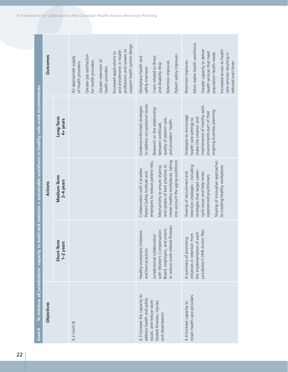|                                                                                                                            | <b>Outcomes</b> |                            | support health system design<br>professions and careers to<br>and enrollments in health<br>Increased applications to<br>Greater job satisfaction<br>An appropriate supply<br>Greater retention of<br>for health providers<br>of health providers<br>health providers | Patient safety improves<br>Costs related to illness<br>Workplace health and<br>Retention improves<br>and disability drop<br>safety improves                                                                                                   | More stable health workforce<br>Greater capacity to deliver<br>Increased access to health<br>health services that meet<br>population health needs<br>care services resulting in<br>Retention improves<br>reduced wait times         |
|----------------------------------------------------------------------------------------------------------------------------|-----------------|----------------------------|----------------------------------------------------------------------------------------------------------------------------------------------------------------------------------------------------------------------------------------------------------------------|-----------------------------------------------------------------------------------------------------------------------------------------------------------------------------------------------------------------------------------------------|-------------------------------------------------------------------------------------------------------------------------------------------------------------------------------------------------------------------------------------|
| to build and maintain a sustainable workforce in healthy safe work environments.<br>To enhance all jurisdictions' capacity |                 | Long-Term<br>4+ years      |                                                                                                                                                                                                                                                                      | to address occupational issues<br>Evidence-informed strategies<br>Research on the relationship<br>quality of patient care,<br>and providers' health<br>between workload,                                                                      | maintenance of healthy work<br>ongoing business planning<br>environments part of their<br>Strategies to encourage<br>make the creation and<br>health care settings to                                                               |
|                                                                                                                            | Actions         | Medium-Term<br>$2-4$ years |                                                                                                                                                                                                                                                                      | create healthy workplaces, taking<br>into account the aging workforce<br>employers to reduce patient risks.<br>and uptake of best practices to<br>Mechanisms to ensure sharing<br>Collaboration with Canadian<br>Patient Safety Institute and | Sharing of innovative approaches<br>retention strategies - including<br>to creating healthy workplaces<br>strategies that target career-<br>Sharing of recruitment and<br>cycle issues and help retain<br>experienced practitioners |
|                                                                                                                            |                 | Short-Term<br>$1-2$ years  |                                                                                                                                                                                                                                                                      | ated illnesses<br>and unions<br>with Worker's Compensation<br>initiatives<br>Jurisdictional collaboration<br>Healthy workplace<br>and best practices<br>to reduce work-rel<br>Board, employers,                                               | jurisdiction's HHR Action Plan<br>the implementation of each<br>initiatives in retention from<br>A summary of promising                                                                                                             |
| Goal 4.                                                                                                                    | Objectives      |                            | $4.2$ (cont'd)                                                                                                                                                                                                                                                       | 4.3 Increase the capacity to<br>address health and safety<br>issues, and reduce work-<br>related illnesses, injuries<br>and absenteeism                                                                                                       | retain health care providers<br>4.4 Increase capacity to                                                                                                                                                                            |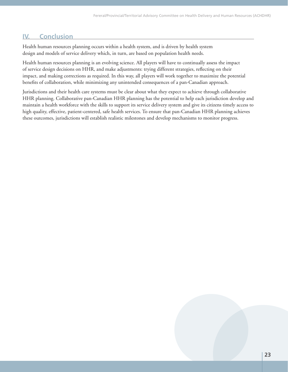# **IV. Conclusion**

Health human resources planning occurs within a health system, and is driven by health system design and models of service delivery which, in turn, are based on population health needs.

Health human resources planning is an evolving science. All players will have to continually assess the impact of service design decisions on HHR, and make adjustments: trying different strategies, reflecting on their impact, and making corrections as required. In this way, all players will work together to maximize the potential benefits of collaboration, while minimizing any unintended consequences of a pan-Canadian approach.

Jurisdictions and their health care systems must be clear about what they expect to achieve through collaborative HHR planning. Collaborative pan-Canadian HHR planning has the potential to help each jurisdiction develop and maintain a health workforce with the skills to support its service delivery system and give its citizens timely access to high quality, effective, patient-centered, safe health services. To ensure that pan-Canadian HHR planning achieves these outcomes, jurisdictions will establish realistic milestones and develop mechanisms to monitor progress.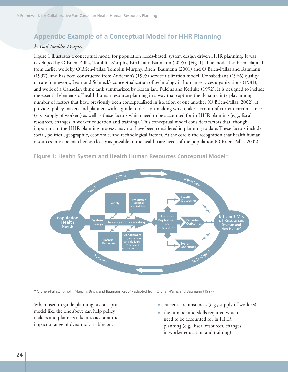# **Appendix: Example of a Conceptual Model for HHR Planning**

# *by Gail Tomblin Murphy*

Figure 1 illustrates a conceptual model for population needs-based, system design driven HHR planning. It was developed by O'Brien-Pallas, Tomblin Murphy, Birch, and Baumann (2005). [Fig. 1]. The model has been adapted from earlier work by O'Brien-Pallas, Tomblin Murphy, Birch, Baumann (2001) and O'Brien-Pallas and Baumann (1997), and has been constructed from Anderson's (1995) service utilization model, Donabedian's (1966) quality of care framework, Leatt and Schneck's conceptualization of technology in human services organizations (1981), and work of a Canadian think tank summarized by Kazanjian, Pulcins and Kerluke (1992). It is designed to include the essential elements of health human resource planning in a way that captures the dynamic interplay among a number of factors that have previously been conceptualized in isolation of one another (O'Brien-Pallas, 2002). It provides policy makers and planners with a guide to decision-making which takes account of current circumstances (e.g., supply of workers) as well as those factors which need to be accounted for in HHR planning (e.g., fiscal resources, changes in worker education and training). This conceptual model considers factors that, though important in the HHR planning process, may not have been considered in planning to date. These factors include social, political, geographic, economic, and technological factors. At the core is the recognition that health human resources must be matched as closely as possible to the health care needs of the population (O'Brien-Pallas 2002).



#### **Figure 1: Health System and Health Human Resources Conceptual Model\***

\* O'Brien-Pallas, Tomblin Murphy, Birch, and Baumann (2001) adapted from O'Brien-Pallas and Baumann (1997)

When used to guide planning, a conceptual model like the one above can help policy makers and planners take into account the impact a range of dynamic variables on:

- current circumstances (e.g., supply of workers)
- the number and skills required which need to be accounted for in HHR planning (e.g., fiscal resources, changes in worker education and training)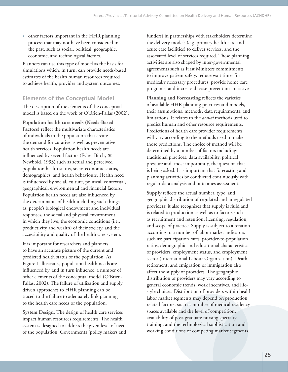**•**  other factors important in the HHR planning process that may not have been considered in the past, such as social, political, geographic, economic, and technological factors.

Planners can use this type of model as the basis for simulations which, in turn, can provide needs-based estimates of the health human resources required to achieve health, provider and system outcomes.

# **Elements of the Conceptual Model**

The description of the elements of the conceptual model is based on the work of O'Brien-Pallas (2002).

**Population health care needs (Needs-Based Factors)** reflect the multivariate characteristics of individuals in the population that create the demand for curative as well as preventative health services. Population health needs are influenced by several factors (Eyles, Birch, & Newbold, 1993) such as actual and perceived population health status, socio-economic status, demographics, and health behaviours. Health need is influenced by social, culture, political, contextual, geographical, environmental and financial factors. Population health needs are also influenced by the determinants of health including such things as: people's biological endowment and individual responses, the social and physical environment in which they live, the economic conditions (i.e., productivity and wealth) of their society, and the accessibility and quality of the health care system.

It is important for researchers and planners to have an accurate picture of the current and predicted health status of the population. As Figure 1 illustrates, population health needs are influenced by, and in turn influence, a number of other elements of the conceptual model (O'Brien-Pallas, 2002). The failure of utilization and supply driven approaches to HHR planning can be traced to the failure to adequately link planning to the health care needs of the population.

**System Design.** The design of health care services impact human resources requirements. The health system is designed to address the given level of need of the population*.* Governments (policy makers and funders) in partnerships with stakeholders determine the delivery models (e.g. primary health care and acute care facilities) to deliver services, and the associated level of services required. These planning activities are also shaped by inter-governmental agreements such as First Ministers commitments to improve patient safety, reduce wait times for medically necessary procedures, provide home care programs, and increase disease prevention initiatives.

**Planning and Forecasting** reflects the varieties of available HHR planning practices and models, their assumptions, methods, data requirements, and limitations. It relates to the *actual* methods used to predict human and other resource requirements. Predictions of health care provider requirements will vary according to the methods used to make those predictions. The choice of method will be determined by a number of factors including: traditional practices, data availability, political pressure and, most importantly, the question that is being asked. It is important that forecasting and planning activities be conducted continuously with regular data analysis and outcomes assessment.

**Supply** reflects the actual number, type, and geographic distribution of regulated and unregulated providers; it also recognizes that supply is fluid and is related to production as well as to factors such as recruitment and retention, licensing, regulation, and scope of practice. Supply is subject to alteration according to a number of labor market indicators such as: participation rates, provider-to-population ratios, demographic and educational characteristics of providers, employment status, and employment sector (International Labour Organization). Death, retirement, and emigration or immigration also affect the supply of providers. The geographic distribution of providers may vary according to general economic trends, work incentives, and lifestyle choices. Distribution of providers within health labor market segments may depend on production related factors, such as number of medical residency spaces available and the level of competition, availability of post-graduate nursing specialty training, and the technological sophistication and working conditions of competing market segments.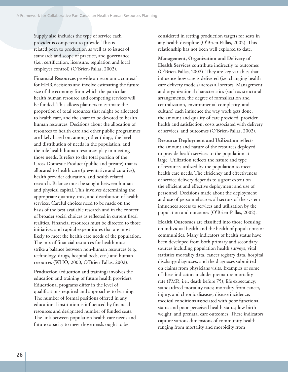Supply also includes the type of service each provider is competent to provide. This is related both to production as well as to issues of standards and scope of practice, and governance (i.e., certification, licensure, regulation and local employer control) (O'Brien-Pallas, 2002).

**Financial Resources** provide an 'economic context' for HHR decisions and involve estimating the future size of the economy from which the particular health human resource and competing services will be funded. This allows planners to estimate the proportion of total resources that might be allocated to health care, and the share to be devoted to health human resources. Decisions about the allocation of resources to health care and other public programmes are likely based on, among other things, the level and distribution of needs in the population, and the role health human resources play in meeting those needs. It refers to the total portion of the Gross Domestic Product (public and private) that is allocated to health care (preventative and curative), health provider education, and health related research. Balance must be sought between human and physical capital. This involves determining the appropriate quantity, mix, and distribution of health services. Careful choices need to be made on the basis of the best available research and in the context of broader social choices as reflected in current fiscal realities. Financial resources must be directed to those initiatives and capital expenditures that are most likely to meet the health care needs of the population. The mix of financial resources for health must strike a balance between non-human resources (e.g., technology, drugs, hospital beds, etc.) and human resources (WHO, 2000; O'Brien-Pallas, 2002).

**Production** (education and training) involves the education and training of future health providers. Educational programs differ in the level of qualifications required and approaches to learning. The number of formal positions offered in any educational institution is influenced by financial resources and designated number of funded seats. The link between population health care needs and future capacity to meet those needs ought to be

considered in setting production targets for seats in any health discipline (O'Brien-Pallas, 2002). This relationship has not been well explored to date.

**Management, Organization and Delivery of Health Services** contribute indirectly to outcomes (O'Brien-Pallas, 2002). They are key variables that influence how care is delivered (i.e. changing health care delivery models) across all sectors. Management and organizational characteristics (such as structural arrangements, the degree of formalization and centralization, environmental complexity, and culture) each influence the way work gets done, the amount and quality of care provided, provider health and satisfaction, costs associated with delivery of services, and outcomes (O'Brien-Pallas, 2002).

**Resource Deployment and Utilization** reflects the amount and nature of the resources deployed to provide health services to the population at large. Utilization reflects the nature and type of resources utilized by the population to meet health care needs. The efficiency and effectiveness of service delivery depends to a great extent on the efficient and effective deployment and use of personnel. Decisions made about the deployment and use of personnel across all sectors of the system influences access to services and utilization by the population and outcomes (O'Brien-Pallas, 2002).

**Health Outcomes** are classified into those focusing on individual health and the health of populations or communities. Many indicators of health status have been developed from both primary and secondary sources including population health surveys, vital statistics mortality data, cancer registry data, hospital discharge diagnoses, and the diagnoses submitted on claims from physicians visits. Examples of some of these indicators include: premature mortality rate (PMR; i.e., death before 75); life expectancy; standardized mortality rates; mortality from cancer, injury, and chronic diseases; disease incidence; medical conditions associated with poor functional status and poor-perceived health status; low birth weight; and prenatal care outcomes. These indicators capture various dimensions of community health ranging from mortality and morbidity from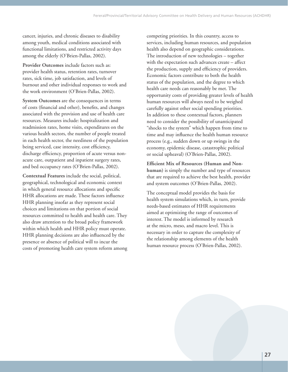cancer, injuries, and chronic diseases to disability among youth, medical conditions associated with functional limitations, and restricted activity days among the elderly (O'Brien-Pallas, 2002).

**Provider Outcomes** include factors such as: provider health status, retention rates, turnover rates, sick time, job satisfaction, and levels of burnout and other individual responses to work and the work environment (O'Brien-Pallas, 2002).

**System Outcomes** are the consequences in terms of costs (financial and other), benefits, and changes associated with the provision and use of health care resources. Measures include: hospitalization and readmission rates, home visits, expenditures on the various health sectors, the number of people treated in each health sector, the neediness of the population being serviced, case intensity, cost efficiency, discharge efficiency, proportion of acute versus nonacute care, outpatient and inpatient surgery rates, and bed occupancy rates (O'Brien-Pallas, 2002).

**Contextual Features** include the social, political, geographical, technological and economic context in which general resource allocations and specific HHR allocations are made. These factors influence HHR planning insofar as they represent social choices and limitations on that portion of social resources committed to health and health care. They also draw attention to the broad policy framework within which health and HHR policy must operate. HHR planning decisions are also influenced by the presence or absence of political will to incur the costs of promoting health care system reform among competing priorities. In this country, access to services, including human resources, and population health also depend on geographic considerations. The introduction of new technologies – together with the expectation such advances create – affect the production, supply and efficiency of providers. Economic factors contribute to both the health status of the population, and the degree to which health care needs can reasonably be met. The opportunity costs of providing greater levels of health human resources will always need to be weighed carefully against other social spending priorities. In addition to these contextual factors, planners need to consider the possibility of unanticipated "shocks to the system" which happen from time to time and may influence the health human resource process (e.g., sudden down or up swings in the economy, epidemic disease, catastrophic political or social upheaval) (O'Brien-Pallas, 2002).

**Efficient Mix of Resources (Human and Nonhuman)** is simply the number and type of resources that are required to achieve the best health, provider and system outcomes (O'Brien-Pallas, 2002).

The conceptual model provides the basis for health system simulations which, in turn, provide needs-based estimates of HHR requirements aimed at optimizing the range of outcomes of interest. The model is informed by research at the micro, meso, and macro level. This is necessary in order to capture the complexity of the relationship among elements of the health human resource process (O'Brien-Pallas, 2002).